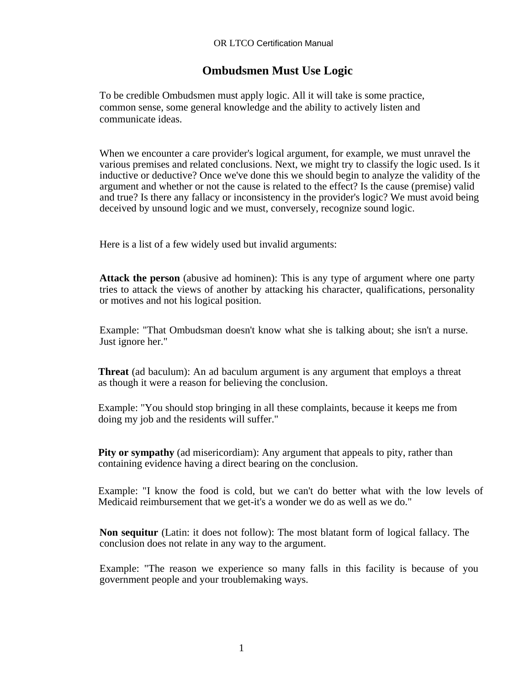## **Ombudsmen Must Use Logic**

To be credible Ombudsmen must apply logic. All it will take is some practice, common sense, some general knowledge and the ability to actively listen and communicate ideas.

When we encounter a care provider's logical argument, for example, we must unravel the various premises and related conclusions. Next, we might try to classify the logic used. Is it inductive or deductive? Once we've done this we should begin to analyze the validity of the argument and whether or not the cause is related to the effect? Is the cause (premise) valid and true? Is there any fallacy or inconsistency in the provider's logic? We must avoid being deceived by unsound logic and we must, conversely, recognize sound logic.

Here is a list of a few widely used but invalid arguments:

**Attack the person** (abusive ad hominen): This is any type of argument where one party tries to attack the views of another by attacking his character, qualifications, personality or motives and not his logical position.

Example: "That Ombudsman doesn't know what she is talking about; she isn't a nurse. Just ignore her."

**Threat** (ad baculum): An ad baculum argument is any argument that employs a threat as though it were a reason for believing the conclusion.

Example: "You should stop bringing in all these complaints, because it keeps me from doing my job and the residents will suffer."

**Pity or sympathy** (ad misericordiam): Any argument that appeals to pity, rather than containing evidence having a direct bearing on the conclusion.

Example: "I know the food is cold, but we can't do better what with the low levels of Medicaid reimbursement that we get-it's a wonder we do as well as we do."

**Non sequitur** (Latin: it does not follow): The most blatant form of logical fallacy. The conclusion does not relate in any way to the argument.

Example: "The reason we experience so many falls in this facility is because of you government people and your troublemaking ways.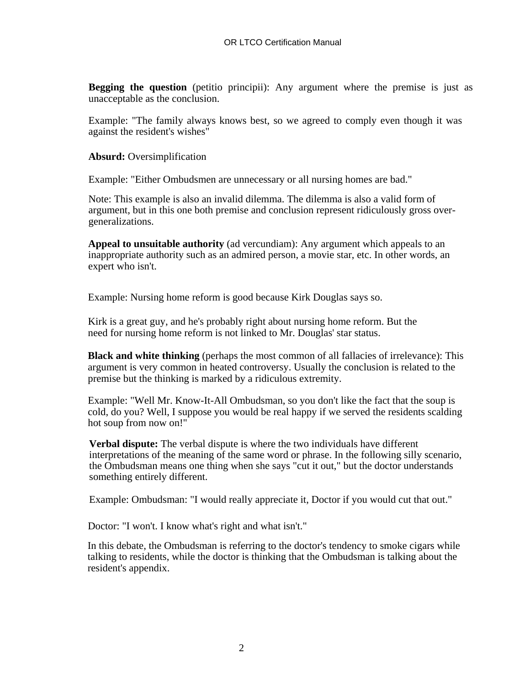**Begging the question** (petitio principii): Any argument where the premise is just as unacceptable as the conclusion.

Example: "The family always knows best, so we agreed to comply even though it was against the resident's wishes"

**Absurd:** Oversimplification

Example: "Either Ombudsmen are unnecessary or all nursing homes are bad."

Note: This example is also an invalid dilemma. The dilemma is also a valid form of argument, but in this one both premise and conclusion represent ridiculously gross overgeneralizations.

**Appeal to unsuitable authority** (ad vercundiam): Any argument which appeals to an inappropriate authority such as an admired person, a movie star, etc. In other words, an expert who isn't.

Example: Nursing home reform is good because Kirk Douglas says so.

Kirk is a great guy, and he's probably right about nursing home reform. But the need for nursing home reform is not linked to Mr. Douglas' star status.

**Black and white thinking** (perhaps the most common of all fallacies of irrelevance): This argument is very common in heated controversy. Usually the conclusion is related to the premise but the thinking is marked by a ridiculous extremity.

Example: "Well Mr. Know-It-All Ombudsman, so you don't like the fact that the soup is cold, do you? Well, I suppose you would be real happy if we served the residents scalding hot soup from now on!"

**Verbal dispute:** The verbal dispute is where the two individuals have different interpretations of the meaning of the same word or phrase. In the following silly scenario, the Ombudsman means one thing when she says "cut it out," but the doctor understands something entirely different.

Example: Ombudsman: "I would really appreciate it, Doctor if you would cut that out."

Doctor: "I won't. I know what's right and what isn't."

In this debate, the Ombudsman is referring to the doctor's tendency to smoke cigars while talking to residents, while the doctor is thinking that the Ombudsman is talking about the resident's appendix.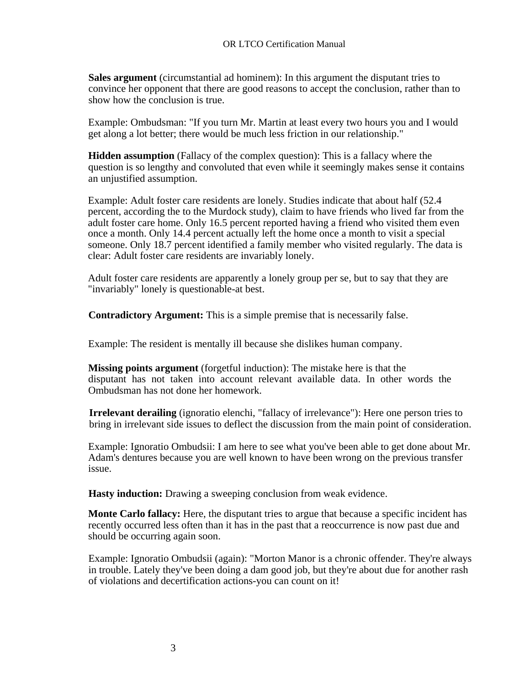**Sales argument** (circumstantial ad hominem): In this argument the disputant tries to convince her opponent that there are good reasons to accept the conclusion, rather than to show how the conclusion is true.

Example: Ombudsman: "If you turn Mr. Martin at least every two hours you and I would get along a lot better; there would be much less friction in our relationship."

**Hidden assumption** (Fallacy of the complex question): This is a fallacy where the question is so lengthy and convoluted that even while it seemingly makes sense it contains an unjustified assumption.

Example: Adult foster care residents are lonely. Studies indicate that about half (52.4 percent, according the to the Murdock study), claim to have friends who lived far from the adult foster care home. Only 16.5 percent reported having a friend who visited them even once a month. Only 14.4 percent actually left the home once a month to visit a special someone. Only 18.7 percent identified a family member who visited regularly. The data is clear: Adult foster care residents are invariably lonely.

Adult foster care residents are apparently a lonely group per se, but to say that they are "invariably" lonely is questionable-at best.

**Contradictory Argument:** This is a simple premise that is necessarily false.

Example: The resident is mentally ill because she dislikes human company.

**Missing points argument** (forgetful induction): The mistake here is that the disputant has not taken into account relevant available data. In other words the Ombudsman has not done her homework.

**Irrelevant derailing** (ignoratio elenchi, "fallacy of irrelevance"): Here one person tries to bring in irrelevant side issues to deflect the discussion from the main point of consideration.

Example: Ignoratio Ombudsii: I am here to see what you've been able to get done about Mr. Adam's dentures because you are well known to have been wrong on the previous transfer issue.

**Hasty induction:** Drawing a sweeping conclusion from weak evidence.

**Monte Carlo fallacy:** Here, the disputant tries to argue that because a specific incident has recently occurred less often than it has in the past that a reoccurrence is now past due and should be occurring again soon.

Example: Ignoratio Ombudsii (again): "Morton Manor is a chronic offender. They're always in trouble. Lately they've been doing a dam good job, but they're about due for another rash of violations and decertification actions-you can count on it!